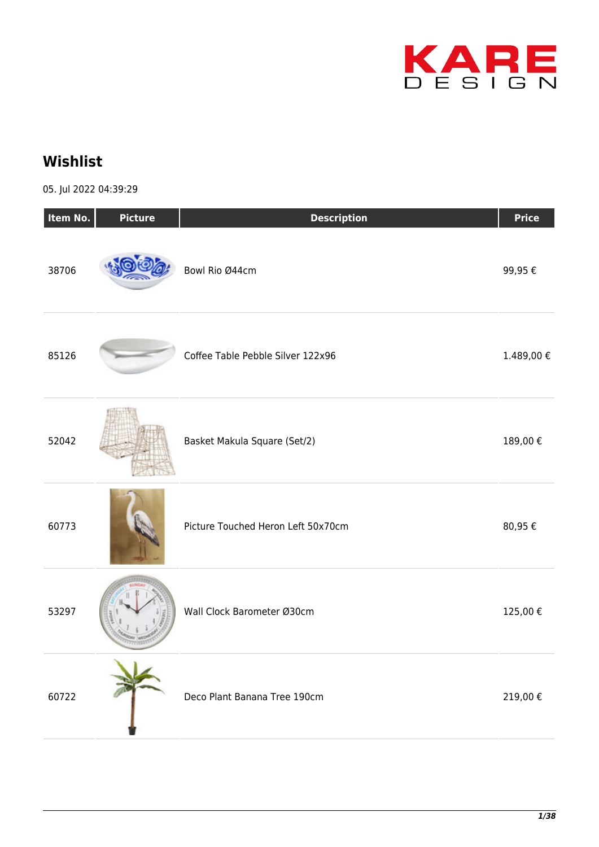

## **Wishlist**

05. Jul 2022 04:39:29

| Item No. | <b>Picture</b> | <b>Description</b>                 | <b>Price</b> |
|----------|----------------|------------------------------------|--------------|
| 38706    |                | Bowl Rio Ø44cm                     | 99,95€       |
| 85126    |                | Coffee Table Pebble Silver 122x96  | 1.489,00€    |
| 52042    |                | Basket Makula Square (Set/2)       | 189,00€      |
| 60773    |                | Picture Touched Heron Left 50x70cm | 80,95€       |
| 53297    |                | Wall Clock Barometer Ø30cm         | 125,00€      |
| 60722    |                | Deco Plant Banana Tree 190cm       | 219,00€      |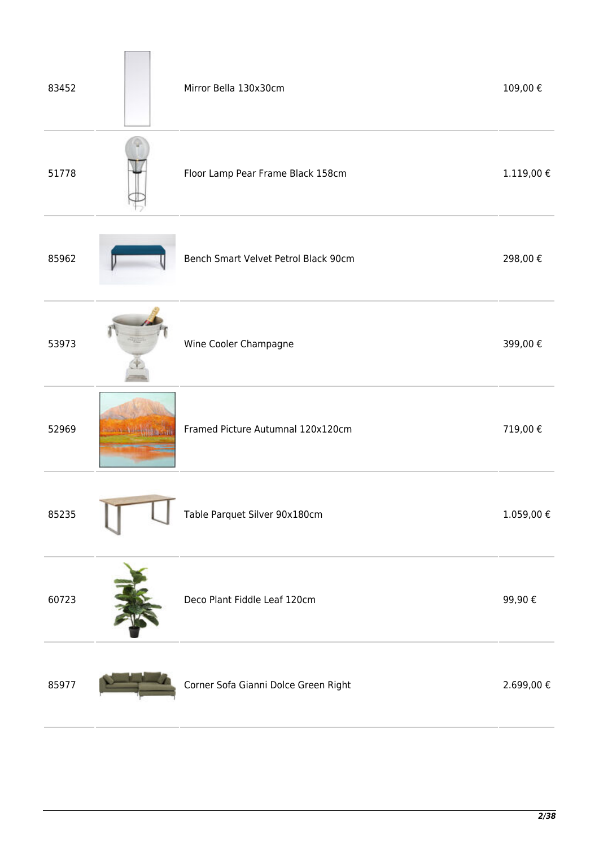| 83452 |                                  | Mirror Bella 130x30cm                | 109,00€          |
|-------|----------------------------------|--------------------------------------|------------------|
| 51778 |                                  | Floor Lamp Pear Frame Black 158cm    | $1.119,00$ $\in$ |
| 85962 |                                  | Bench Smart Velvet Petrol Black 90cm | 298,00€          |
| 53973 |                                  | Wine Cooler Champagne                | 399,00€          |
| 52969 | <b>Control of Party Property</b> | Framed Picture Autumnal 120x120cm    | 719,00€          |
| 85235 |                                  | Table Parquet Silver 90x180cm        | $1.059,00 \in$   |
| 60723 |                                  | Deco Plant Fiddle Leaf 120cm         | 99,90€           |
| 85977 |                                  | Corner Sofa Gianni Dolce Green Right | 2.699,00 €       |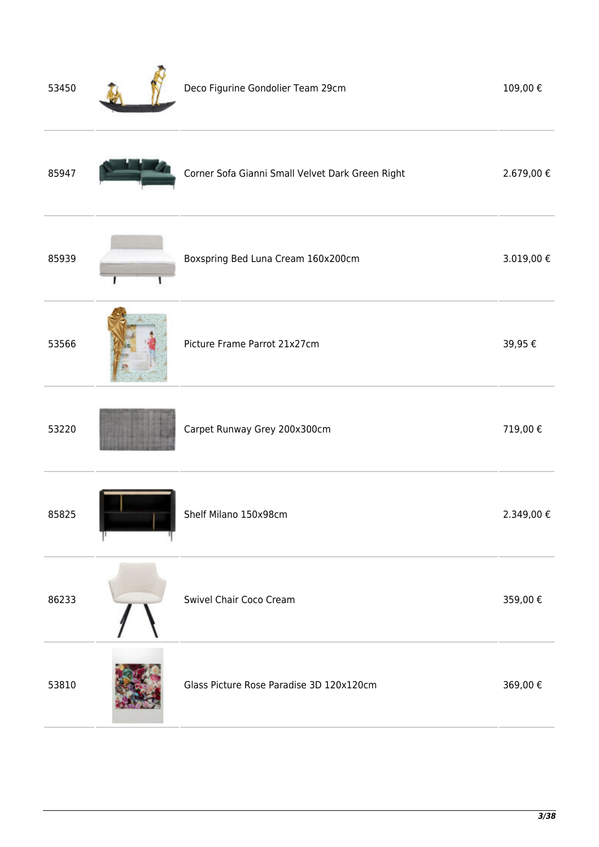| 53450 | Deco Figurine Gondolier Team 29cm                | 109,00€    |
|-------|--------------------------------------------------|------------|
| 85947 | Corner Sofa Gianni Small Velvet Dark Green Right | 2.679,00€  |
| 85939 | Boxspring Bed Luna Cream 160x200cm               | 3.019,00 € |
| 53566 | Picture Frame Parrot 21x27cm                     | 39,95€     |
| 53220 | Carpet Runway Grey 200x300cm                     | 719,00€    |
| 85825 | Shelf Milano 150x98cm                            | 2.349,00€  |
| 86233 | Swivel Chair Coco Cream                          | 359,00€    |
| 53810 | Glass Picture Rose Paradise 3D 120x120cm         | 369,00€    |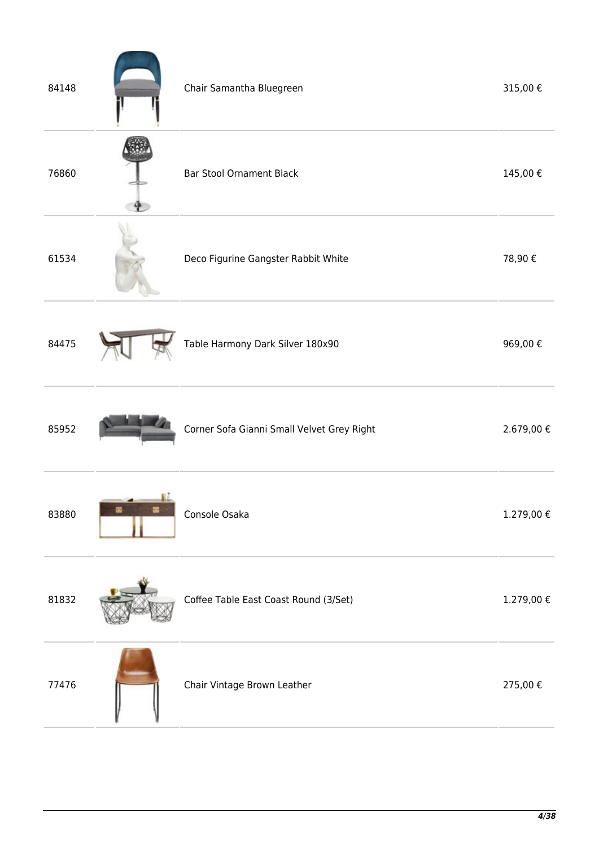| 84148 | Chair Samantha Bluegreen                   | 315,00€        |
|-------|--------------------------------------------|----------------|
| 76860 | <b>Bar Stool Ornament Black</b>            | 145,00€        |
| 61534 | Deco Figurine Gangster Rabbit White        | 78,90€         |
| 84475 | Table Harmony Dark Silver 180x90           | 969,00€        |
| 85952 | Corner Sofa Gianni Small Velvet Grey Right | 2.679,00€      |
| 83880 | Console Osaka                              | $1.279,00 \in$ |
| 81832 | Coffee Table East Coast Round (3/Set)      | 1.279,00 €     |
| 77476 | Chair Vintage Brown Leather                | 275,00€        |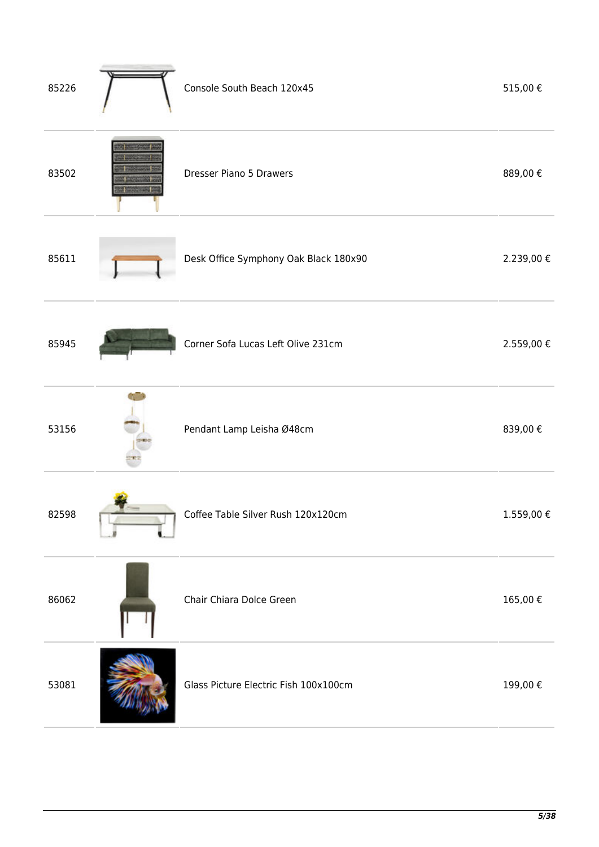| 85226 | Console South Beach 120x45            | 515,00€    |
|-------|---------------------------------------|------------|
| 83502 | Dresser Piano 5 Drawers               | 889,00€    |
| 85611 | Desk Office Symphony Oak Black 180x90 | 2.239,00 € |
| 85945 | Corner Sofa Lucas Left Olive 231cm    | 2.559,00 € |
| 53156 | Pendant Lamp Leisha Ø48cm             | 839,00€    |
| 82598 | Coffee Table Silver Rush 120x120cm    | 1.559,00€  |
| 86062 | Chair Chiara Dolce Green              | 165,00€    |
| 53081 | Glass Picture Electric Fish 100x100cm | 199,00€    |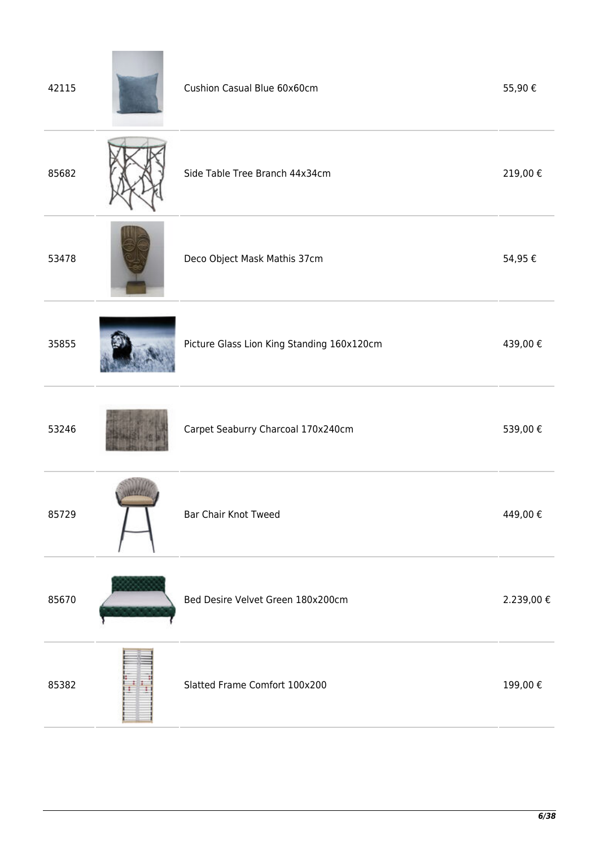| 42115 | Cushion Casual Blue 60x60cm                | 55,90€     |
|-------|--------------------------------------------|------------|
| 85682 | Side Table Tree Branch 44x34cm             | 219,00€    |
| 53478 | Deco Object Mask Mathis 37cm               | 54,95€     |
| 35855 | Picture Glass Lion King Standing 160x120cm | 439,00€    |
| 53246 | Carpet Seaburry Charcoal 170x240cm         | 539,00€    |
| 85729 | <b>Bar Chair Knot Tweed</b>                | 449,00€    |
| 85670 | Bed Desire Velvet Green 180x200cm          | 2.239,00 € |
| 85382 | Slatted Frame Comfort 100x200              | 199,00€    |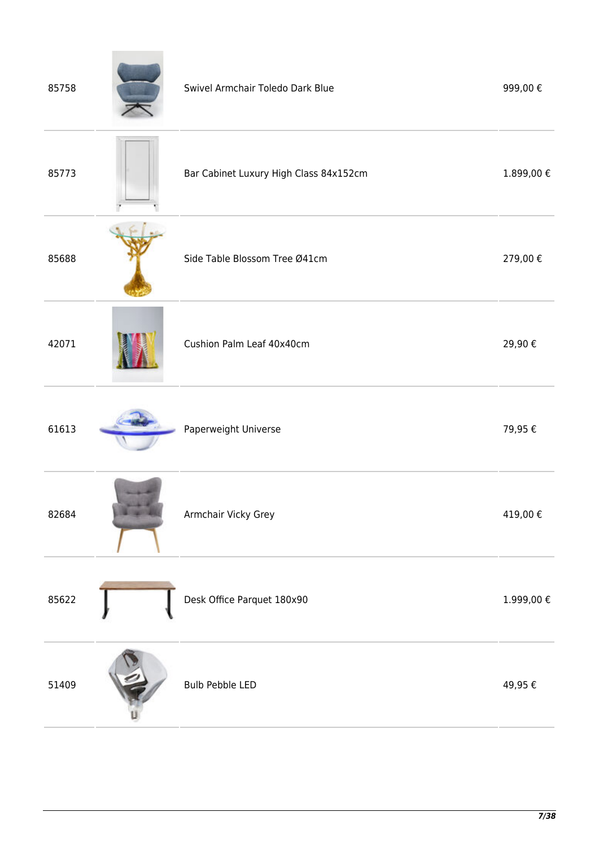| 85758 | Swivel Armchair Toledo Dark Blue       | 999,00€    |
|-------|----------------------------------------|------------|
| 85773 | Bar Cabinet Luxury High Class 84x152cm | 1.899,00€  |
| 85688 | Side Table Blossom Tree Ø41cm          | 279,00€    |
| 42071 | Cushion Palm Leaf 40x40cm              | 29,90€     |
| 61613 | Paperweight Universe                   | 79,95€     |
| 82684 | Armchair Vicky Grey                    | 419,00€    |
| 85622 | Desk Office Parquet 180x90             | 1.999,00 € |
| 51409 | <b>Bulb Pebble LED</b>                 | 49,95€     |

**Contract Contract Contract**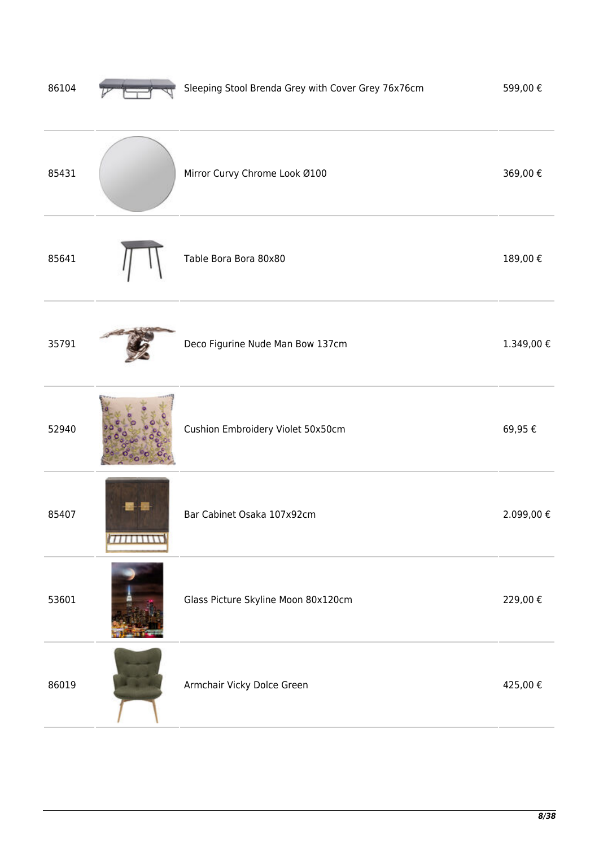| 86104 | Sleeping Stool Brenda Grey with Cover Grey 76x76cm | 599,00€    |
|-------|----------------------------------------------------|------------|
| 85431 | Mirror Curvy Chrome Look Ø100                      | 369,00€    |
| 85641 | Table Bora Bora 80x80                              | 189,00€    |
| 35791 | Deco Figurine Nude Man Bow 137cm                   | 1.349,00 € |
| 52940 | Cushion Embroidery Violet 50x50cm                  | 69,95€     |
| 85407 | Bar Cabinet Osaka 107x92cm                         | 2.099,00€  |
| 53601 | Glass Picture Skyline Moon 80x120cm                | 229,00€    |
| 86019 | Armchair Vicky Dolce Green                         | 425,00€    |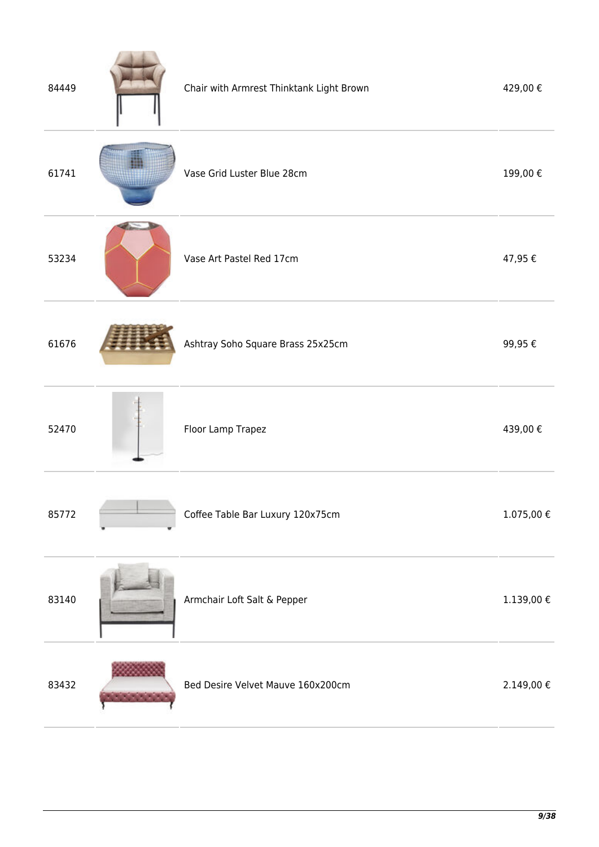| 84449 | Chair with Armrest Thinktank Light Brown | 429,00€        |
|-------|------------------------------------------|----------------|
| 61741 | Vase Grid Luster Blue 28cm               | 199,00€        |
| 53234 | Vase Art Pastel Red 17cm                 | 47,95€         |
| 61676 | Ashtray Soho Square Brass 25x25cm        | 99,95€         |
| 52470 | Floor Lamp Trapez                        | 439,00€        |
| 85772 | Coffee Table Bar Luxury 120x75cm         | $1.075,00 \in$ |
| 83140 | Armchair Loft Salt & Pepper              | $1.139,00 \in$ |
| 83432 | Bed Desire Velvet Mauve 160x200cm        | 2.149,00 €     |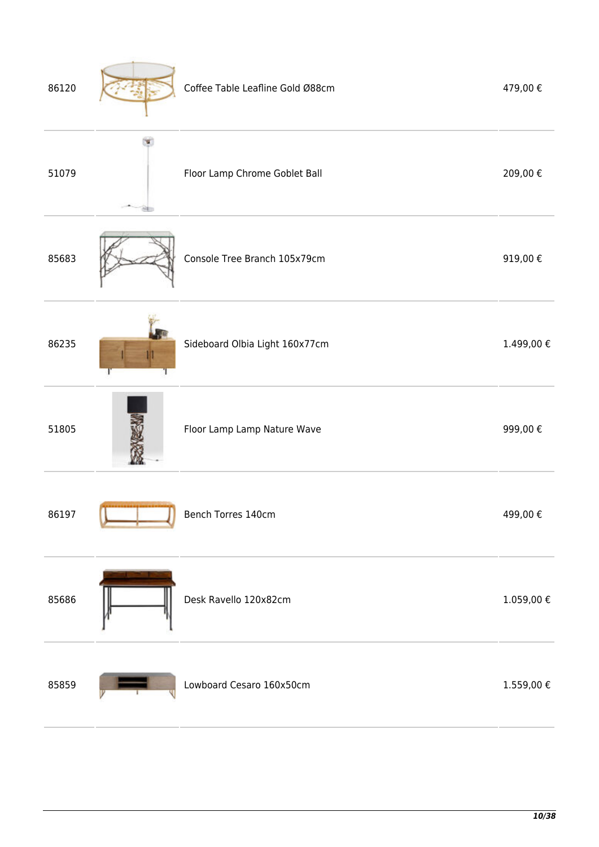| 86120 | Coffee Table Leafline Gold Ø88cm | 479,00€    |
|-------|----------------------------------|------------|
| 51079 | Floor Lamp Chrome Goblet Ball    | 209,00€    |
| 85683 | Console Tree Branch 105x79cm     | 919,00€    |
| 86235 | Sideboard Olbia Light 160x77cm   | 1.499,00€  |
| 51805 | Floor Lamp Lamp Nature Wave      | 999,00€    |
| 86197 | Bench Torres 140cm               | 499,00€    |
| 85686 | Desk Ravello 120x82cm            | 1.059,00 € |
| 85859 | Lowboard Cesaro 160x50cm         | 1.559,00 € |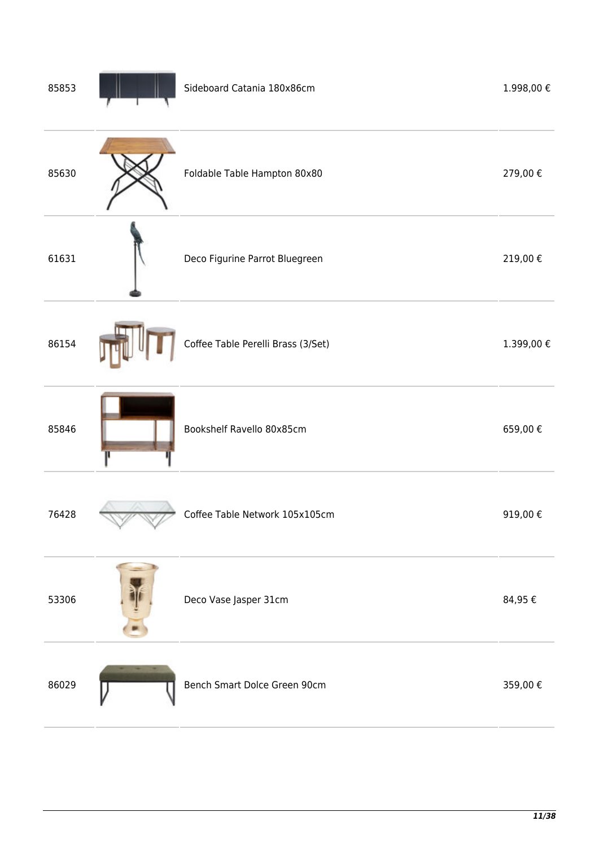| 85853 | Sideboard Catania 180x86cm         | 1.998,00€   |
|-------|------------------------------------|-------------|
| 85630 | Foldable Table Hampton 80x80       | 279,00€     |
| 61631 | Deco Figurine Parrot Bluegreen     | 219,00€     |
| 86154 | Coffee Table Perelli Brass (3/Set) | 1.399,00€   |
| 85846 | Bookshelf Ravello 80x85cm          | 659,00€     |
| 76428 | Coffee Table Network 105x105cm     | 919,00€     |
| 53306 | Deco Vase Jasper 31cm              | 84,95 $\in$ |
| 86029 | Bench Smart Dolce Green 90cm       | 359,00€     |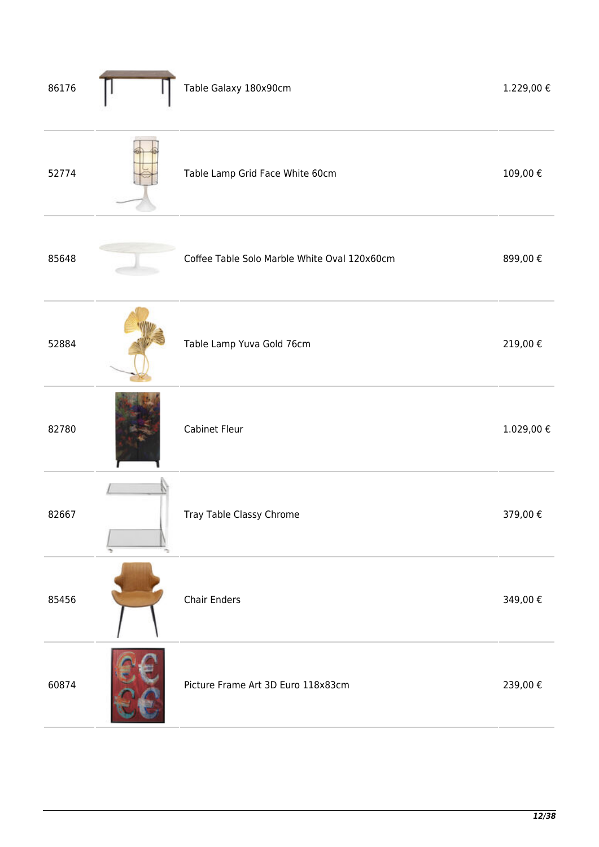| 86176 | Table Galaxy 180x90cm                        | 1.229,00 €     |
|-------|----------------------------------------------|----------------|
| 52774 | Table Lamp Grid Face White 60cm              | 109,00€        |
| 85648 | Coffee Table Solo Marble White Oval 120x60cm | 899,00€        |
| 52884 | Table Lamp Yuva Gold 76cm                    | 219,00€        |
| 82780 | Cabinet Fleur                                | $1.029,00 \in$ |
| 82667 | Tray Table Classy Chrome                     | 379,00€        |
| 85456 | Chair Enders                                 | 349,00€        |
| 60874 | Picture Frame Art 3D Euro 118x83cm           | 239,00€        |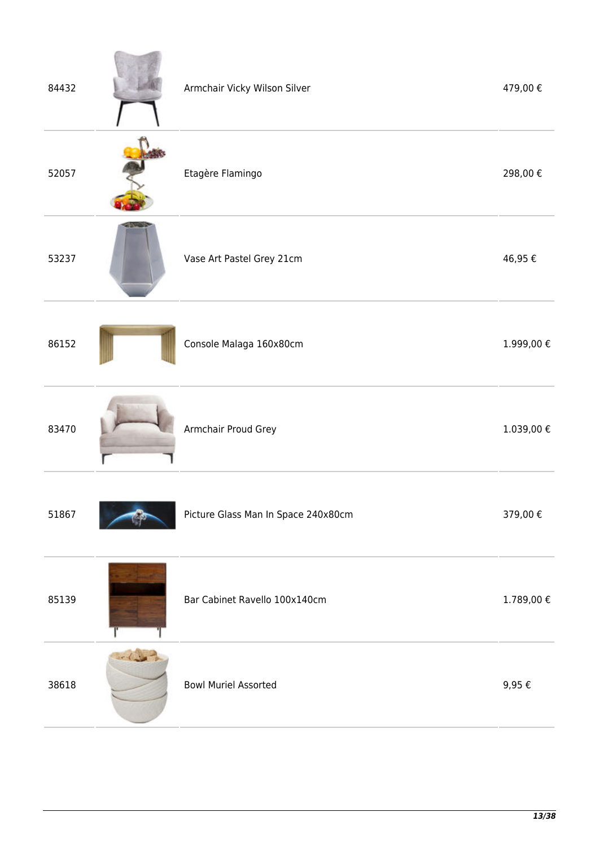| 84432 |             | Armchair Vicky Wilson Silver        | 479,00€    |
|-------|-------------|-------------------------------------|------------|
| 52057 |             | Etagère Flamingo                    | 298,00€    |
| 53237 |             | Vase Art Pastel Grey 21cm           | 46,95€     |
| 86152 |             | Console Malaga 160x80cm             | 1.999,00 € |
| 83470 |             | Armchair Proud Grey                 | 1.039,00 € |
| 51867 |             | Picture Glass Man In Space 240x80cm | 379,00€    |
| 85139 |             | Bar Cabinet Ravello 100x140cm       | 1.789,00 € |
| 38618 | $-\sqrt{2}$ | <b>Bowl Muriel Assorted</b>         | $9,95 \in$ |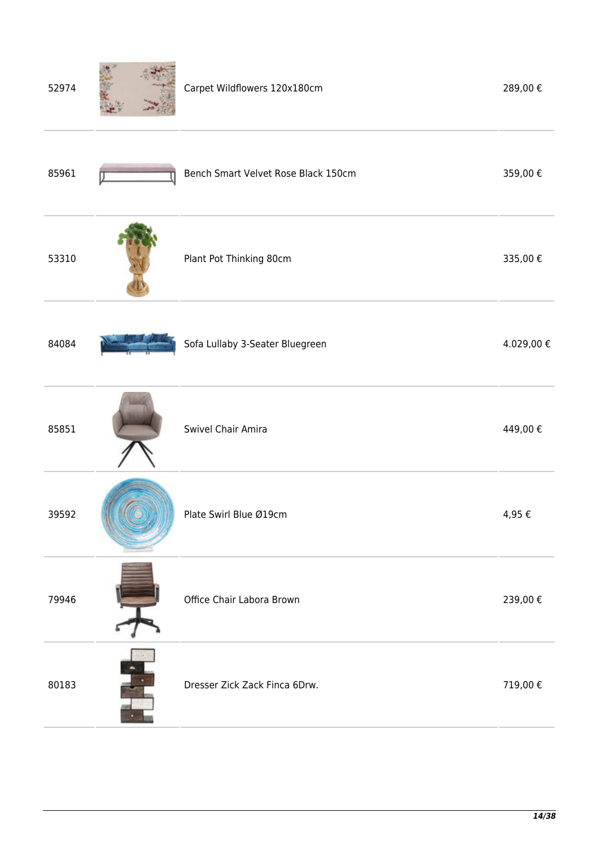| 52974 | Carpet Wildflowers 120x180cm        | 289,00€    |
|-------|-------------------------------------|------------|
| 85961 | Bench Smart Velvet Rose Black 150cm | 359,00€    |
| 53310 | Plant Pot Thinking 80cm             | 335,00€    |
| 84084 | Sofa Lullaby 3-Seater Bluegreen     | 4.029,00 € |
| 85851 | Swivel Chair Amira                  | 449,00€    |
| 39592 | Plate Swirl Blue Ø19cm              | 4,95€      |
| 79946 | Office Chair Labora Brown           | 239,00€    |
| 80183 | Dresser Zick Zack Finca 6Drw.       | 719,00€    |
|       |                                     |            |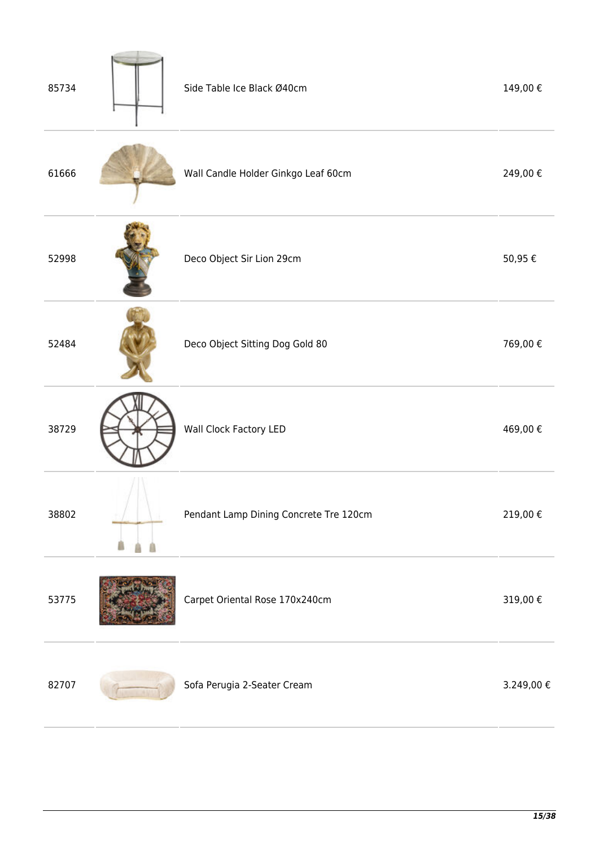| 85734 | Side Table Ice Black Ø40cm             | 149,00€    |
|-------|----------------------------------------|------------|
| 61666 | Wall Candle Holder Ginkgo Leaf 60cm    | 249,00€    |
| 52998 | Deco Object Sir Lion 29cm              | 50,95€     |
| 52484 | Deco Object Sitting Dog Gold 80        | 769,00€    |
| 38729 | Wall Clock Factory LED                 | 469,00€    |
| 38802 | Pendant Lamp Dining Concrete Tre 120cm | 219,00 €   |
| 53775 | Carpet Oriental Rose 170x240cm         | 319,00€    |
| 82707 | Sofa Perugia 2-Seater Cream            | 3.249,00 € |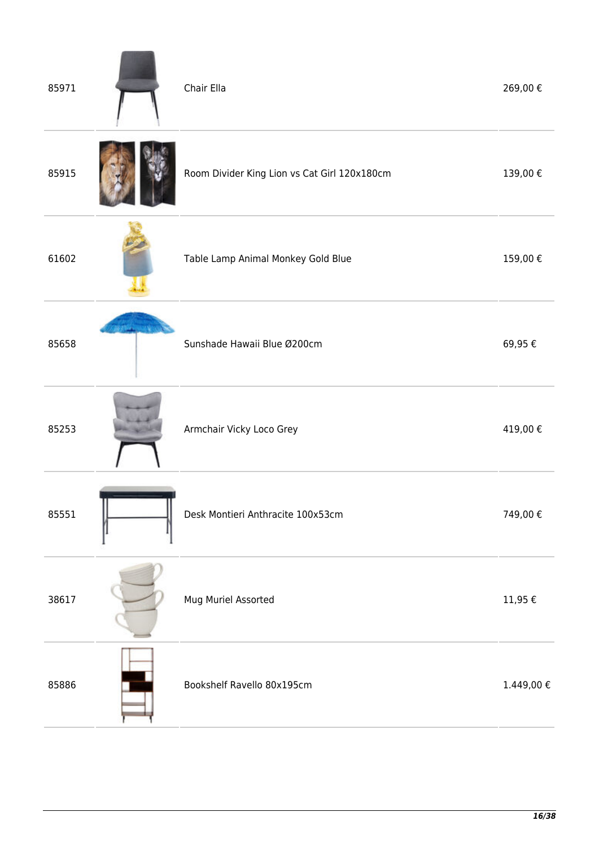| 85971 | Chair Ella                                   | 269,00€           |
|-------|----------------------------------------------|-------------------|
| 85915 | Room Divider King Lion vs Cat Girl 120x180cm | 139,00€           |
| 61602 | Table Lamp Animal Monkey Gold Blue           | 159,00€           |
| 85658 | Sunshade Hawaii Blue Ø200cm                  | 69,95€            |
| 85253 | Armchair Vicky Loco Grey                     | 419,00€           |
| 85551 | Desk Montieri Anthracite 100x53cm            | 749,00€           |
| 38617 | Mug Muriel Assorted                          | $11,95\ \epsilon$ |
| 85886 | Bookshelf Ravello 80x195cm                   | 1.449,00 €        |
|       |                                              |                   |

ä,

×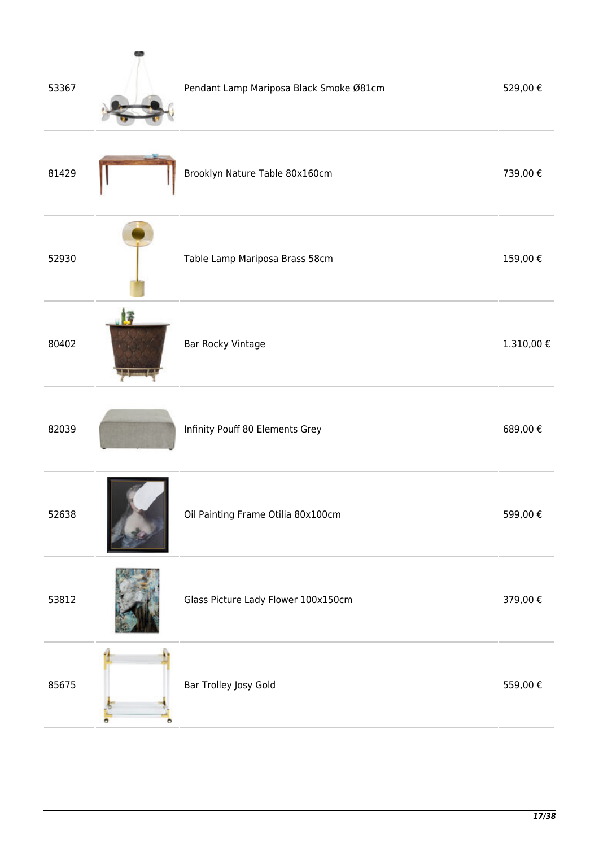| 53367 | Pendant Lamp Mariposa Black Smoke Ø81cm | 529,00€    |
|-------|-----------------------------------------|------------|
| 81429 | Brooklyn Nature Table 80x160cm          | 739,00€    |
| 52930 | Table Lamp Mariposa Brass 58cm          | 159,00€    |
| 80402 | Bar Rocky Vintage                       | 1.310,00 € |
| 82039 | Infinity Pouff 80 Elements Grey         | 689,00€    |
| 52638 | Oil Painting Frame Otilia 80x100cm      | 599,00€    |
| 53812 | Glass Picture Lady Flower 100x150cm     | 379,00€    |
| 85675 | Bar Trolley Josy Gold                   | 559,00€    |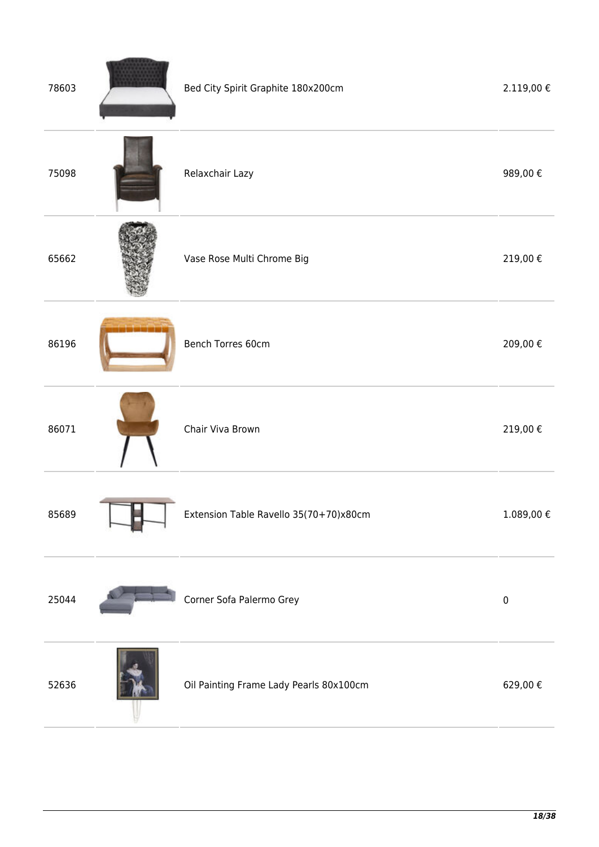| 78603 | Bed City Spirit Graphite 180x200cm      | 2.119,00 € |
|-------|-----------------------------------------|------------|
| 75098 | Relaxchair Lazy                         | 989,00€    |
| 65662 | Vase Rose Multi Chrome Big              | 219,00 €   |
| 86196 | Bench Torres 60cm                       | 209,00€    |
| 86071 | Chair Viva Brown                        | 219,00€    |
| 85689 | Extension Table Ravello 35(70+70)x80cm  | 1.089,00€  |
| 25044 | Corner Sofa Palermo Grey                | $\pmb{0}$  |
| 52636 | Oil Painting Frame Lady Pearls 80x100cm | 629,00€    |

L.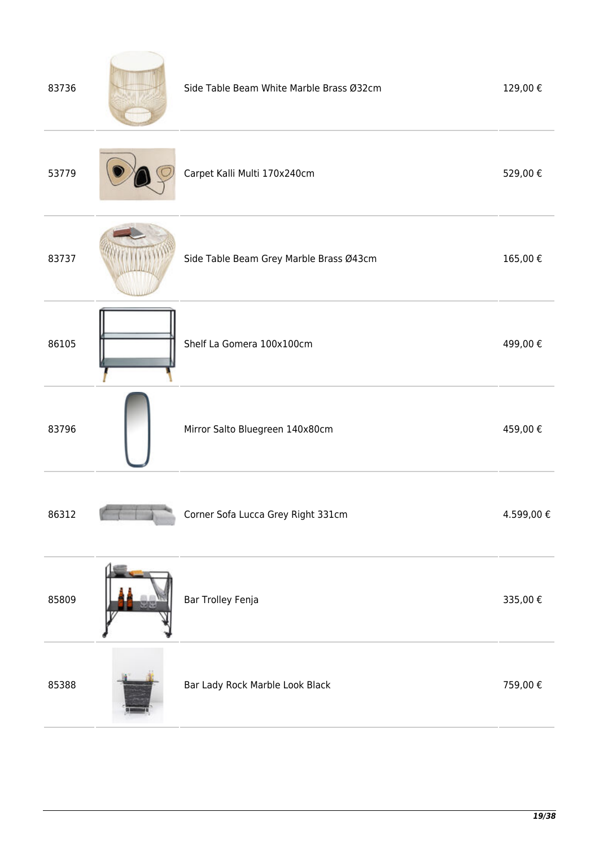| 83736 | Side Table Beam White Marble Brass Ø32cm | 129,00€   |
|-------|------------------------------------------|-----------|
| 53779 | Carpet Kalli Multi 170x240cm             | 529,00€   |
| 83737 | Side Table Beam Grey Marble Brass Ø43cm  | 165,00€   |
| 86105 | Shelf La Gomera 100x100cm                | 499,00€   |
| 83796 | Mirror Salto Bluegreen 140x80cm          | 459,00€   |
| 86312 | Corner Sofa Lucca Grey Right 331cm       | 4.599,00€ |
| 85809 | Bar Trolley Fenja                        | 335,00€   |
| 85388 | Bar Lady Rock Marble Look Black          | 759,00€   |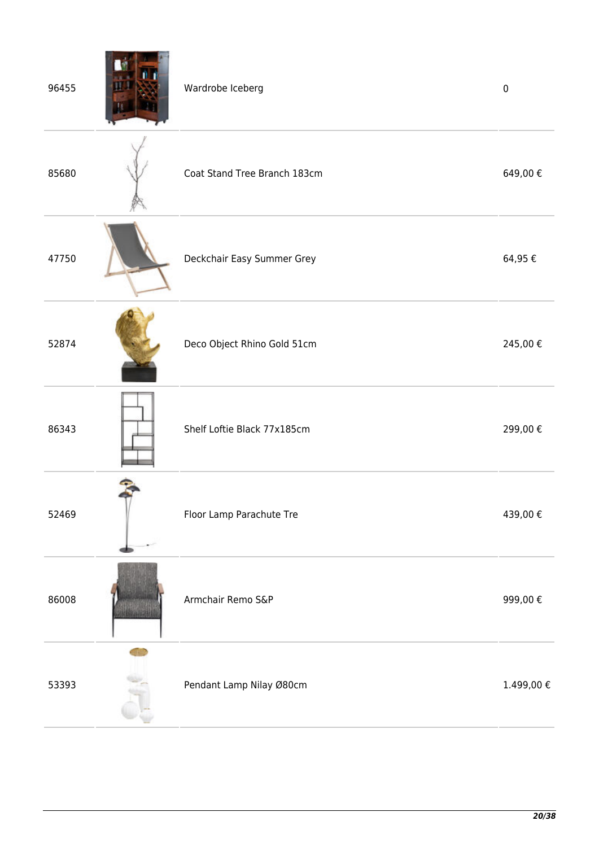| 96455 | Wardrobe Iceberg             | $\pmb{0}$  |
|-------|------------------------------|------------|
| 85680 | Coat Stand Tree Branch 183cm | 649,00€    |
| 47750 | Deckchair Easy Summer Grey   | 64,95€     |
| 52874 | Deco Object Rhino Gold 51cm  | 245,00€    |
| 86343 | Shelf Loftie Black 77x185cm  | 299,00€    |
| 52469 | Floor Lamp Parachute Tre     | 439,00€    |
| 86008 | Armchair Remo S&P            | 999,00€    |
| 53393 | Pendant Lamp Nilay Ø80cm     | 1.499,00 € |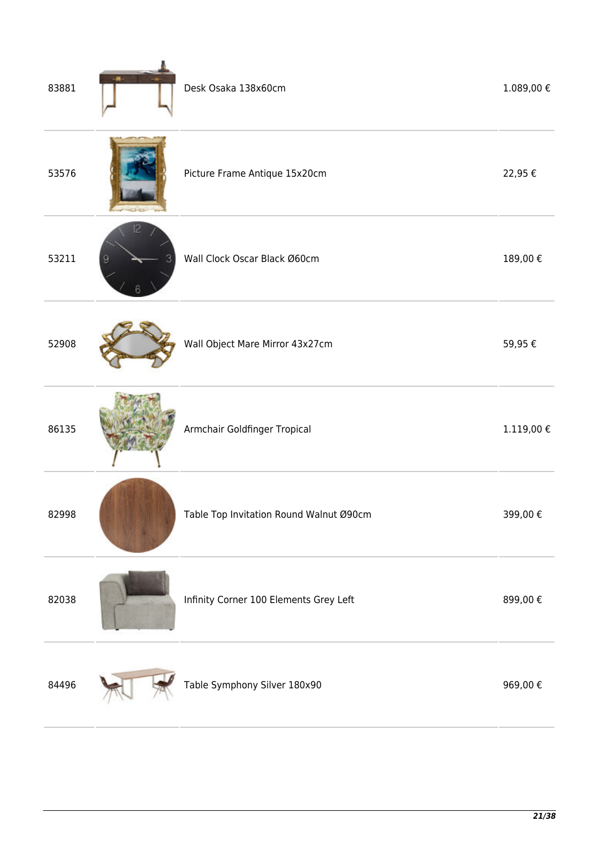| 83881 | Desk Osaka 138x60cm                     | $1.089,00 \notin$ |
|-------|-----------------------------------------|-------------------|
| 53576 | Picture Frame Antique 15x20cm           | 22,95€            |
| 53211 | Wall Clock Oscar Black Ø60cm            | 189,00€           |
| 52908 | Wall Object Mare Mirror 43x27cm         | 59,95€            |
| 86135 | Armchair Goldfinger Tropical            | $1.119,00\in$     |
| 82998 | Table Top Invitation Round Walnut Ø90cm | 399,00€           |
| 82038 | Infinity Corner 100 Elements Grey Left  | 899,00€           |
| 84496 | Table Symphony Silver 180x90            | 969,00€           |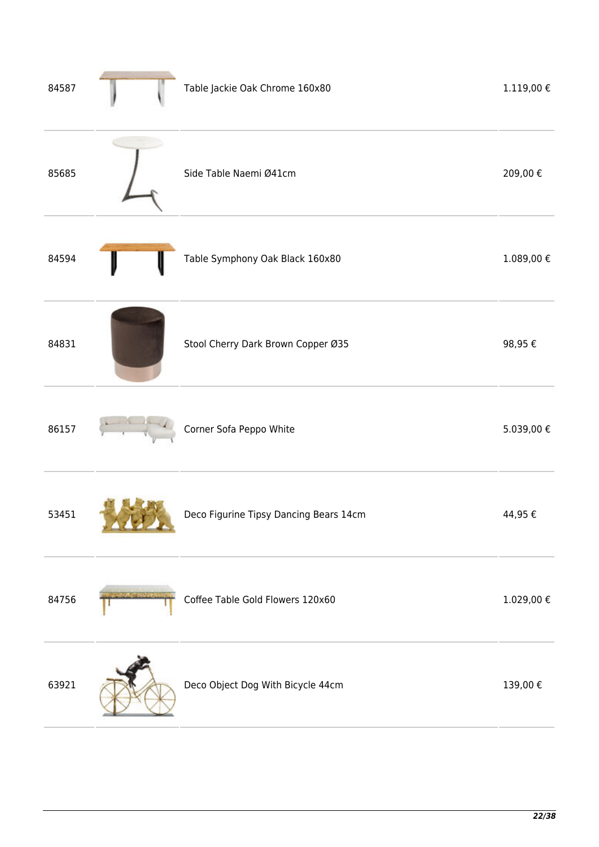| 84587 | Table Jackie Oak Chrome 160x80         | $1.119,00 \in$ |
|-------|----------------------------------------|----------------|
| 85685 | Side Table Naemi Ø41cm                 | 209,00€        |
| 84594 | Table Symphony Oak Black 160x80        | $1.089,00 \in$ |
| 84831 | Stool Cherry Dark Brown Copper Ø35     | 98,95€         |
| 86157 | Corner Sofa Peppo White                | 5.039,00€      |
| 53451 | Deco Figurine Tipsy Dancing Bears 14cm | 44,95€         |
| 84756 | Coffee Table Gold Flowers 120x60       | $1.029,00 \in$ |
| 63921 | Deco Object Dog With Bicycle 44cm      | 139,00€        |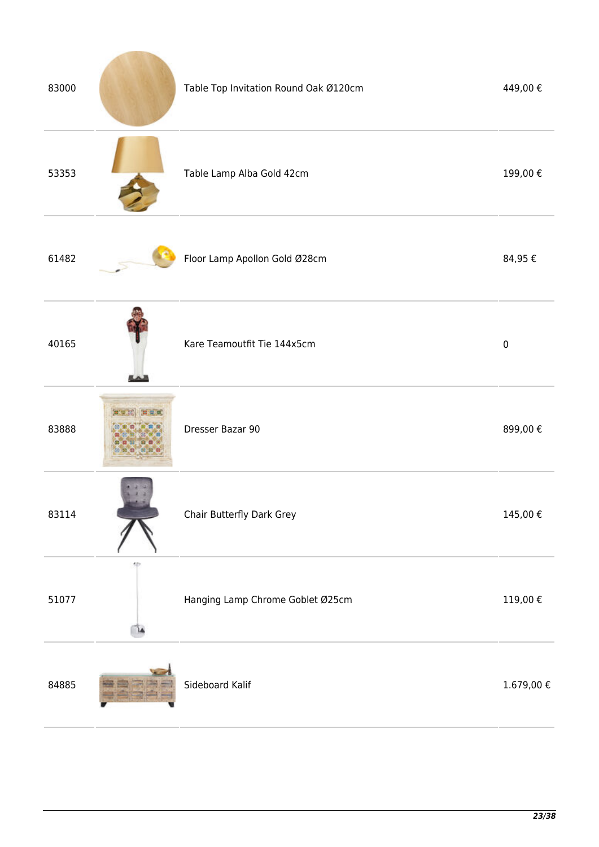| 83000 |    | Table Top Invitation Round Oak Ø120cm | 449,00€          |
|-------|----|---------------------------------------|------------------|
| 53353 |    | Table Lamp Alba Gold 42cm             | 199,00€          |
| 61482 |    | Floor Lamp Apollon Gold Ø28cm         | 84,95€           |
| 40165 |    | Kare Teamoutfit Tie 144x5cm           | $\pmb{0}$        |
| 83888 |    | Dresser Bazar 90                      | 899,00€          |
| 83114 |    | Chair Butterfly Dark Grey             | 145,00€          |
| 51077 | ۸Þ | Hanging Lamp Chrome Goblet Ø25cm      | $119{,}00$ $\in$ |
| 84885 |    | Sideboard Kalif                       | $1.679,00 \in$   |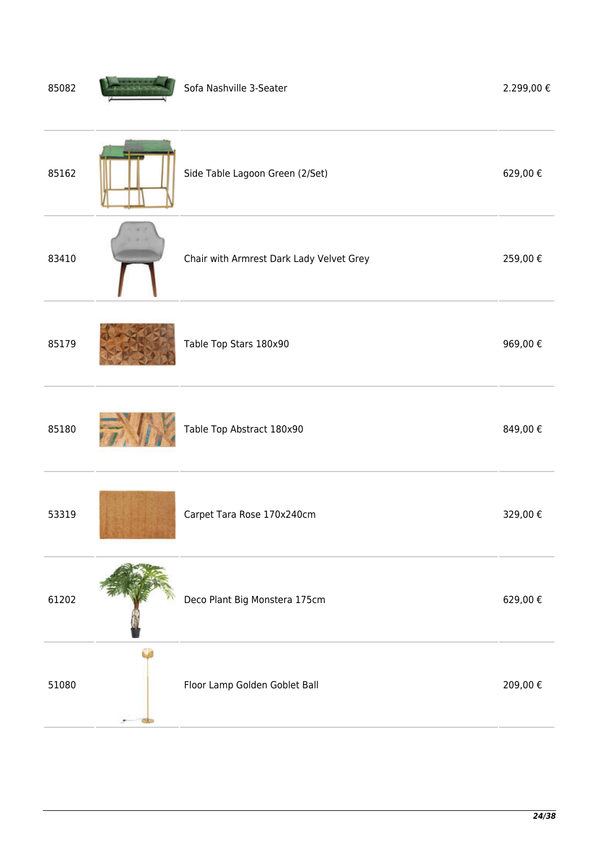| 85162<br>Side Table Lagoon Green (2/Set)<br>83410<br>Chair with Armrest Dark Lady Velvet Grey |         |
|-----------------------------------------------------------------------------------------------|---------|
|                                                                                               | 629,00€ |
|                                                                                               | 259,00€ |
| 85179<br>Table Top Stars 180x90                                                               | 969,00€ |
| Table Top Abstract 180x90<br>85180                                                            | 849,00€ |
| Carpet Tara Rose 170x240cm<br>53319                                                           | 329,00€ |
| 61202<br>Deco Plant Big Monstera 175cm                                                        | 629,00€ |
| 51080<br>Floor Lamp Golden Goblet Ball                                                        | 209,00€ |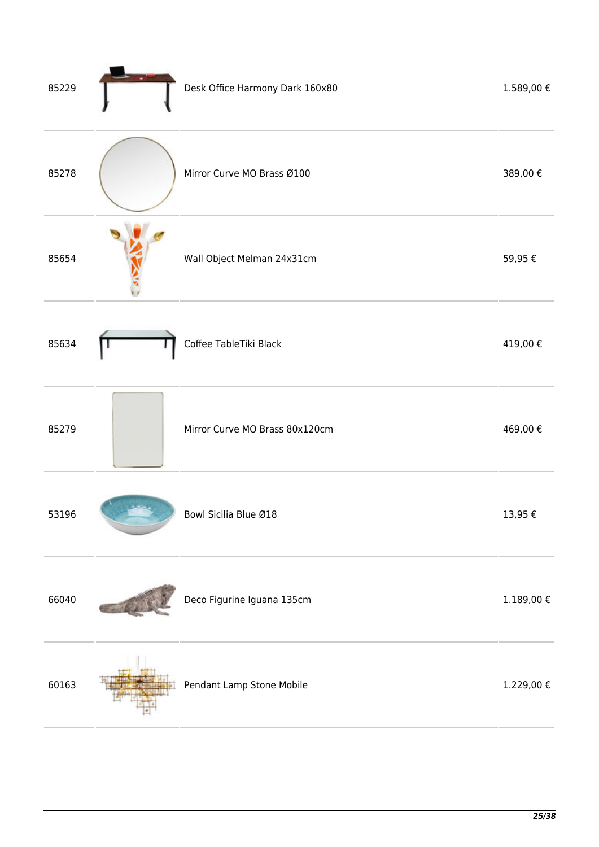| 85229 | Desk Office Harmony Dark 160x80 | 1.589,00€        |
|-------|---------------------------------|------------------|
| 85278 | Mirror Curve MO Brass Ø100      | 389,00€          |
| 85654 | Wall Object Melman 24x31cm      | 59,95€           |
| 85634 | Coffee TableTiki Black          | 419,00€          |
| 85279 | Mirror Curve MO Brass 80x120cm  | 469,00€          |
| 53196 | Bowl Sicilia Blue Ø18           | 13,95€           |
| 66040 | Deco Figurine Iguana 135cm      | $1.189,00$ $\in$ |
| 60163 | Pendant Lamp Stone Mobile       | 1.229,00 €       |
|       |                                 |                  |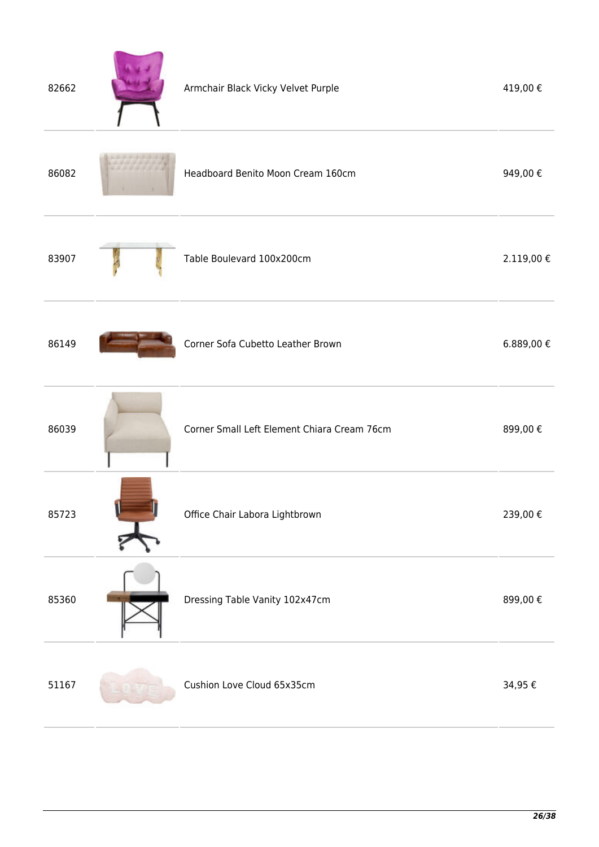| 82662 | Armchair Black Vicky Velvet Purple          | 419,00€    |
|-------|---------------------------------------------|------------|
| 86082 | Headboard Benito Moon Cream 160cm           | 949,00€    |
| 83907 | Table Boulevard 100x200cm                   | 2.119,00 € |
| 86149 | Corner Sofa Cubetto Leather Brown           | 6.889,00 € |
| 86039 | Corner Small Left Element Chiara Cream 76cm | 899,00€    |
| 85723 | Office Chair Labora Lightbrown              | 239,00€    |
| 85360 | Dressing Table Vanity 102x47cm              | 899,00€    |
| 51167 | Cushion Love Cloud 65x35cm                  | 34,95€     |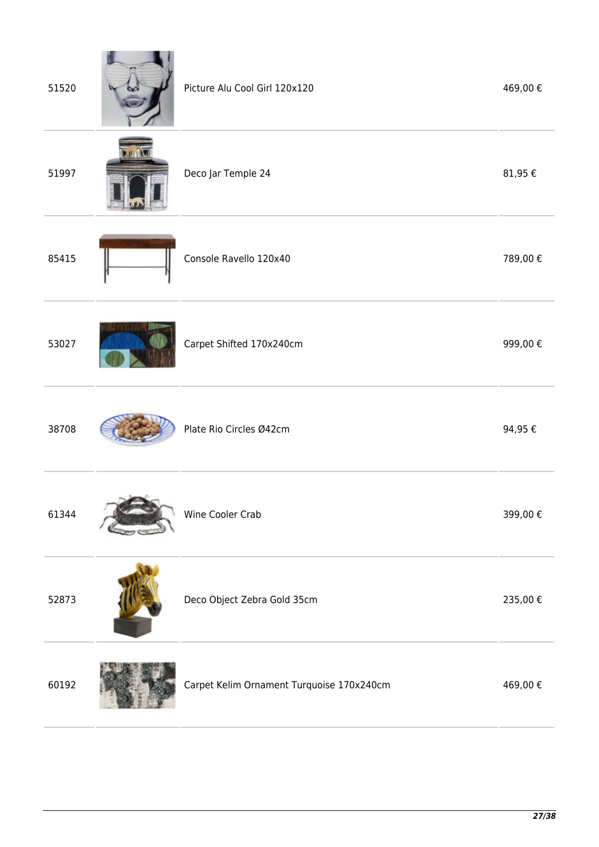| 51520 | Picture Alu Cool Girl 120x120             | 469,00€     |
|-------|-------------------------------------------|-------------|
| 51997 | Deco Jar Temple 24                        | 81,95 $\in$ |
| 85415 | Console Ravello 120x40                    | 789,00€     |
| 53027 | Carpet Shifted 170x240cm                  | 999,00€     |
| 38708 | Plate Rio Circles Ø42cm                   | 94,95€      |
| 61344 | Wine Cooler Crab                          | 399,00€     |
| 52873 | Deco Object Zebra Gold 35cm               | 235,00 €    |
| 60192 | Carpet Kelim Ornament Turquoise 170x240cm | 469,00€     |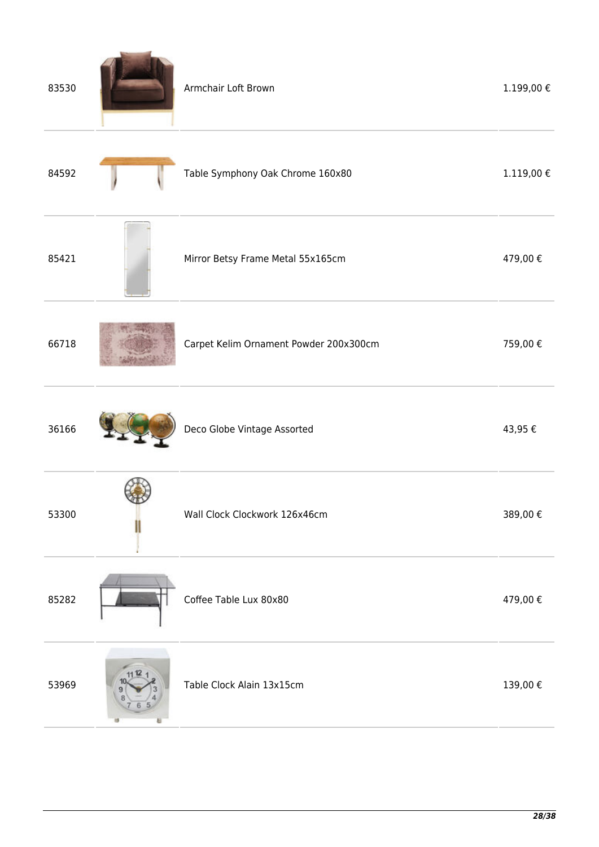| 83530 | Armchair Loft Brown                    | 1.199,00 €     |
|-------|----------------------------------------|----------------|
| 84592 | Table Symphony Oak Chrome 160x80       | $1.119,00 \in$ |
| 85421 | Mirror Betsy Frame Metal 55x165cm      | 479,00€        |
| 66718 | Carpet Kelim Ornament Powder 200x300cm | 759,00€        |
| 36166 | Deco Globe Vintage Assorted            | 43,95€         |
| 53300 | Wall Clock Clockwork 126x46cm          | 389,00€        |
| 85282 | Coffee Table Lux 80x80                 | 479,00€        |
| 53969 | Table Clock Alain 13x15cm              | 139,00€        |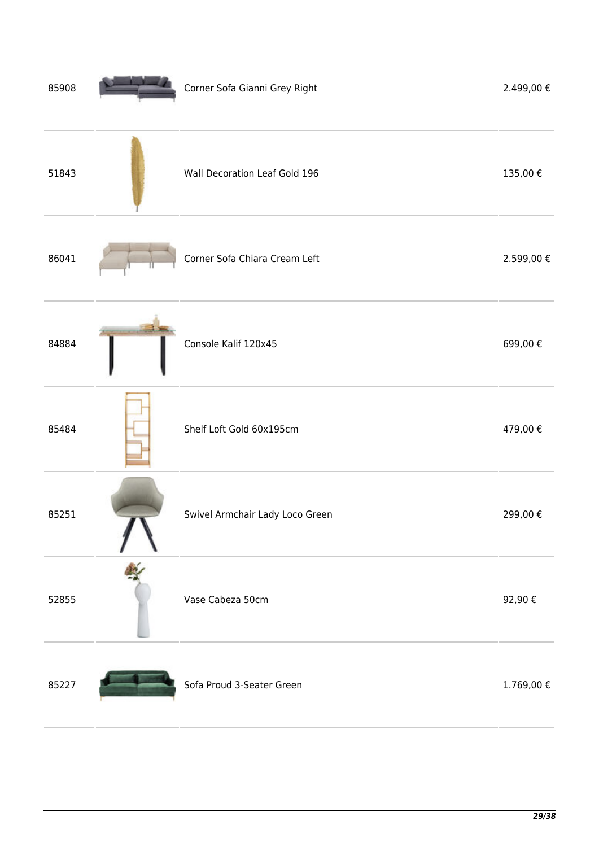| 85908 | Corner Sofa Gianni Grey Right   | 2.499,00€      |
|-------|---------------------------------|----------------|
| 51843 | Wall Decoration Leaf Gold 196   | 135,00€        |
| 86041 | Corner Sofa Chiara Cream Left   | 2.599,00 €     |
| 84884 | Console Kalif 120x45            | 699,00€        |
| 85484 | Shelf Loft Gold 60x195cm        | 479,00€        |
| 85251 | Swivel Armchair Lady Loco Green | 299,00€        |
| 52855 | Vase Cabeza 50cm                | 92,90€         |
| 85227 | Sofa Proud 3-Seater Green       | $1.769,00 \in$ |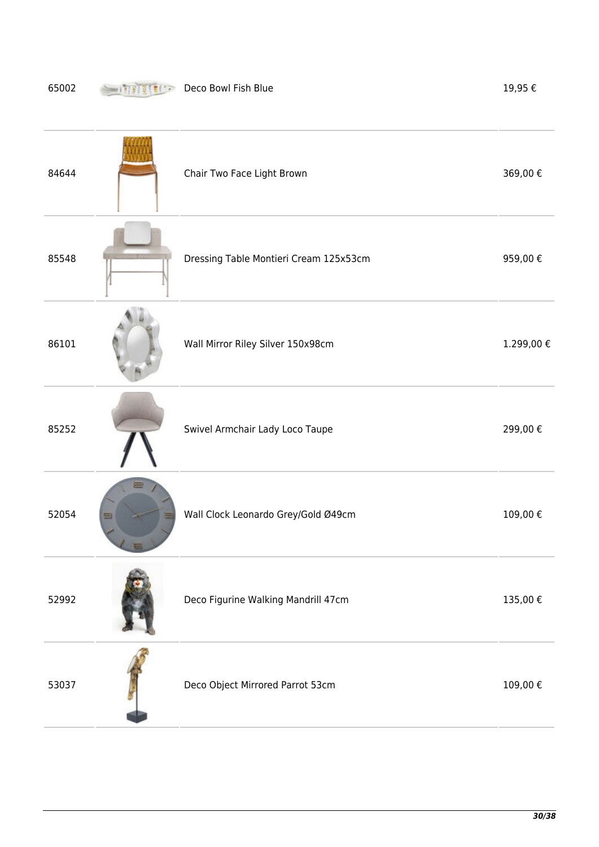## **Deco Bowl Fish Blue** 19,95 €

| 84644 | Chair Two Face Light Brown             | 369,00€   |
|-------|----------------------------------------|-----------|
| 85548 | Dressing Table Montieri Cream 125x53cm | 959,00€   |
| 86101 | Wall Mirror Riley Silver 150x98cm      | 1.299,00€ |
| 85252 | Swivel Armchair Lady Loco Taupe        | 299,00€   |
| 52054 | Wall Clock Leonardo Grey/Gold Ø49cm    | 109,00€   |
| 52992 | Deco Figurine Walking Mandrill 47cm    | 135,00€   |
| 53037 | Deco Object Mirrored Parrot 53cm       | 109,00€   |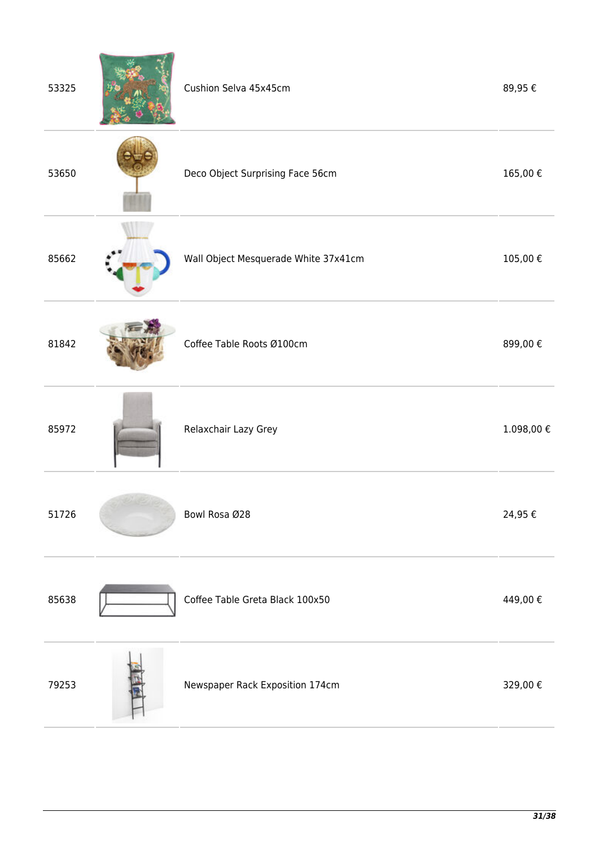| 53325 | Cushion Selva 45x45cm                | 89,95€     |
|-------|--------------------------------------|------------|
| 53650 | Deco Object Surprising Face 56cm     | 165,00€    |
| 85662 | Wall Object Mesquerade White 37x41cm | 105,00€    |
| 81842 | Coffee Table Roots Ø100cm            | 899,00€    |
| 85972 | Relaxchair Lazy Grey                 | 1.098,00 € |
| 51726 | Bowl Rosa Ø28                        | 24,95€     |
| 85638 | Coffee Table Greta Black 100x50      | 449,00€    |
| 79253 | Newspaper Rack Exposition 174cm      | 329,00€    |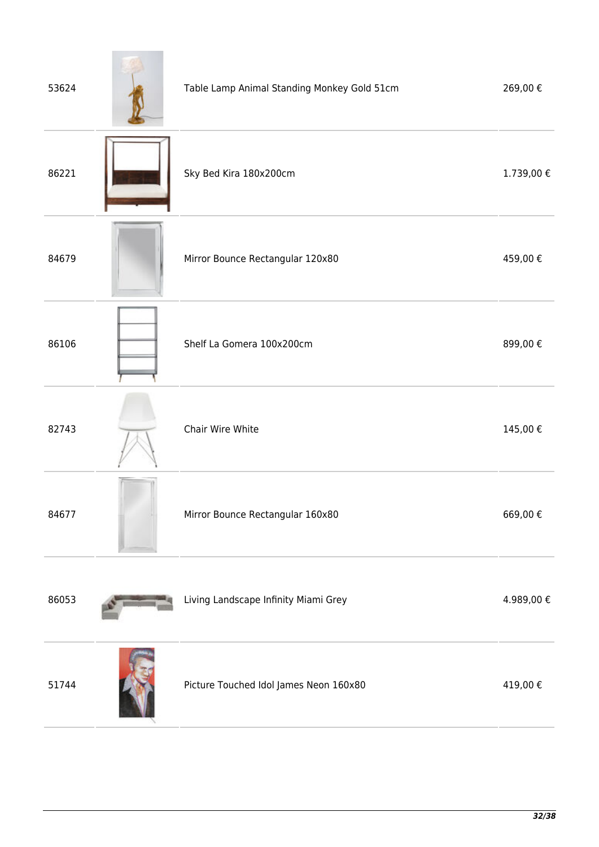| 53624 | Table Lamp Animal Standing Monkey Gold 51cm | 269,00€   |
|-------|---------------------------------------------|-----------|
| 86221 | Sky Bed Kira 180x200cm                      | 1.739,00€ |
| 84679 | Mirror Bounce Rectangular 120x80            | 459,00€   |
| 86106 | Shelf La Gomera 100x200cm                   | 899,00€   |
| 82743 | Chair Wire White                            | 145,00€   |
| 84677 | Mirror Bounce Rectangular 160x80            | 669,00€   |
| 86053 | Living Landscape Infinity Miami Grey        | 4.989,00€ |
| 51744 | Picture Touched Idol James Neon 160x80      | 419,00€   |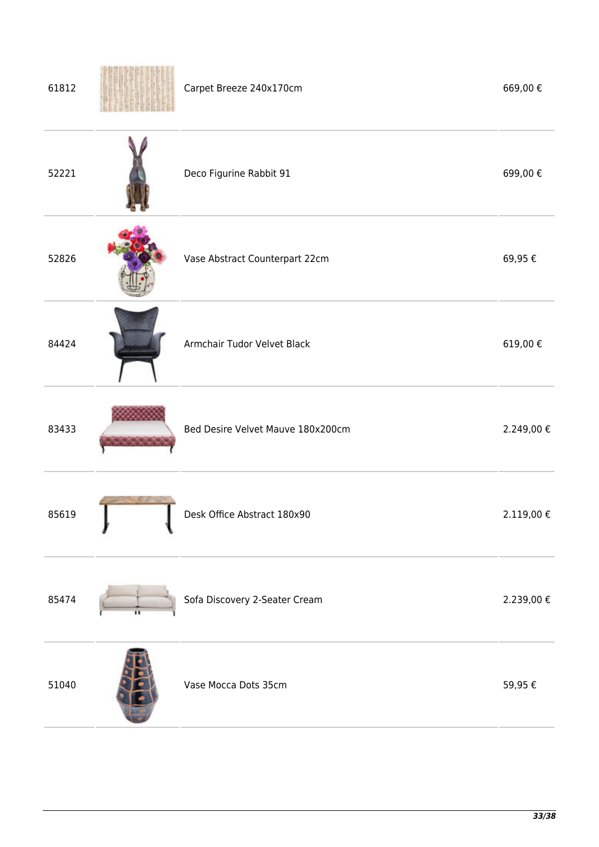| 61812 | Carpet Breeze 240x170cm           | 669,00€    |
|-------|-----------------------------------|------------|
| 52221 | Deco Figurine Rabbit 91           | 699,00€    |
| 52826 | Vase Abstract Counterpart 22cm    | 69,95€     |
| 84424 | Armchair Tudor Velvet Black       | 619,00€    |
| 83433 | Bed Desire Velvet Mauve 180x200cm | 2.249,00 € |
| 85619 | Desk Office Abstract 180x90       | 2.119,00 € |
| 85474 | Sofa Discovery 2-Seater Cream     | 2.239,00 € |
| 51040 | Vase Mocca Dots 35cm              | 59,95€     |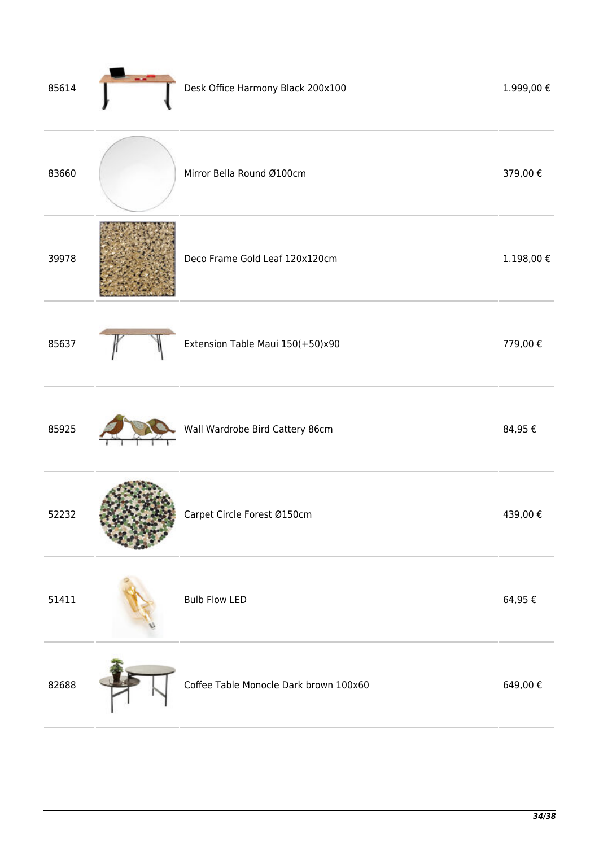| 85614 | Desk Office Harmony Black 200x100      | 1.999,00 €        |
|-------|----------------------------------------|-------------------|
| 83660 | Mirror Bella Round Ø100cm              | 379,00€           |
| 39978 | Deco Frame Gold Leaf 120x120cm         | $1.198,00 \notin$ |
| 85637 | Extension Table Maui 150(+50)x90       | 779,00€           |
| 85925 | Wall Wardrobe Bird Cattery 86cm        | 84,95€            |
| 52232 | Carpet Circle Forest Ø150cm            | 439,00€           |
| 51411 | <b>Bulb Flow LED</b>                   | 64,95€            |
| 82688 | Coffee Table Monocle Dark brown 100x60 | 649,00€           |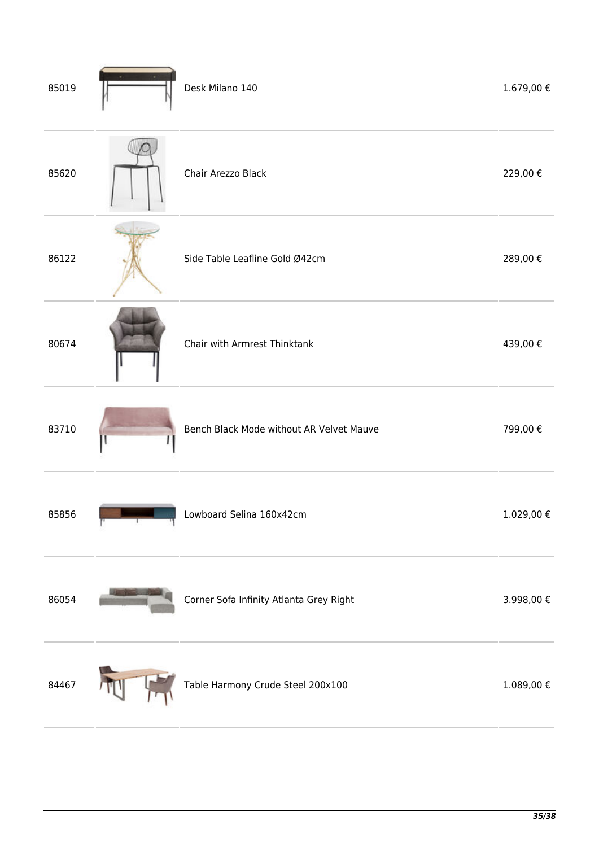| 85019 | Desk Milano 140                          | $1.679,00 \in$ |
|-------|------------------------------------------|----------------|
| 85620 | Chair Arezzo Black                       | 229,00€        |
| 86122 | Side Table Leafline Gold Ø42cm           | 289,00€        |
| 80674 | Chair with Armrest Thinktank             | 439,00€        |
| 83710 | Bench Black Mode without AR Velvet Mauve | 799,00€        |
| 85856 | Lowboard Selina 160x42cm                 | 1.029,00€      |
| 86054 | Corner Sofa Infinity Atlanta Grey Right  | 3.998,00 $\in$ |
| 84467 | Table Harmony Crude Steel 200x100        | $1.089,00 \in$ |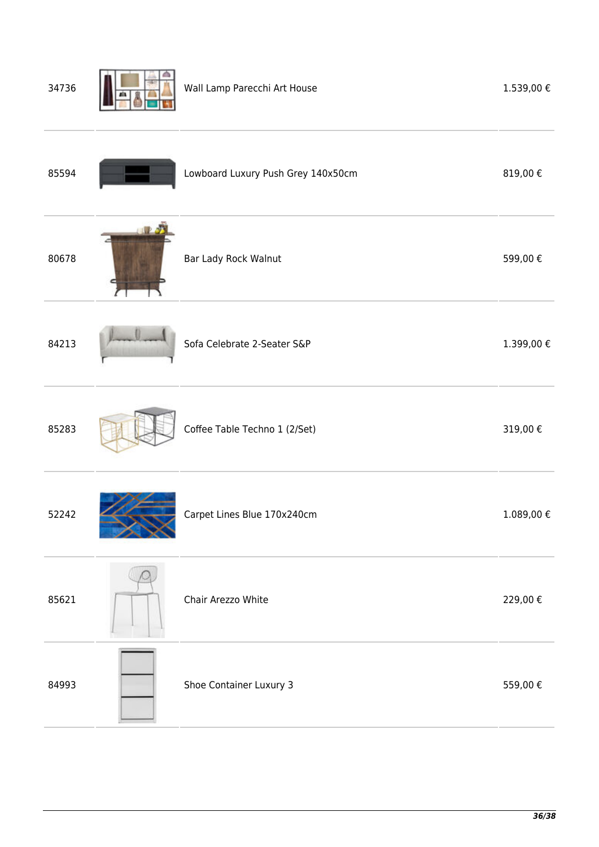| 34736 | Wall Lamp Parecchi Art House       | 1.539,00€      |
|-------|------------------------------------|----------------|
| 85594 | Lowboard Luxury Push Grey 140x50cm | 819,00€        |
| 80678 | Bar Lady Rock Walnut               | 599,00€        |
| 84213 | Sofa Celebrate 2-Seater S&P        | 1.399,00 €     |
| 85283 | Coffee Table Techno 1 (2/Set)      | 319,00€        |
| 52242 | Carpet Lines Blue 170x240cm        | $1.089,00 \in$ |
| 85621 | Chair Arezzo White                 | 229,00€        |
| 84993 | Shoe Container Luxury 3            | 559,00€        |
|       |                                    |                |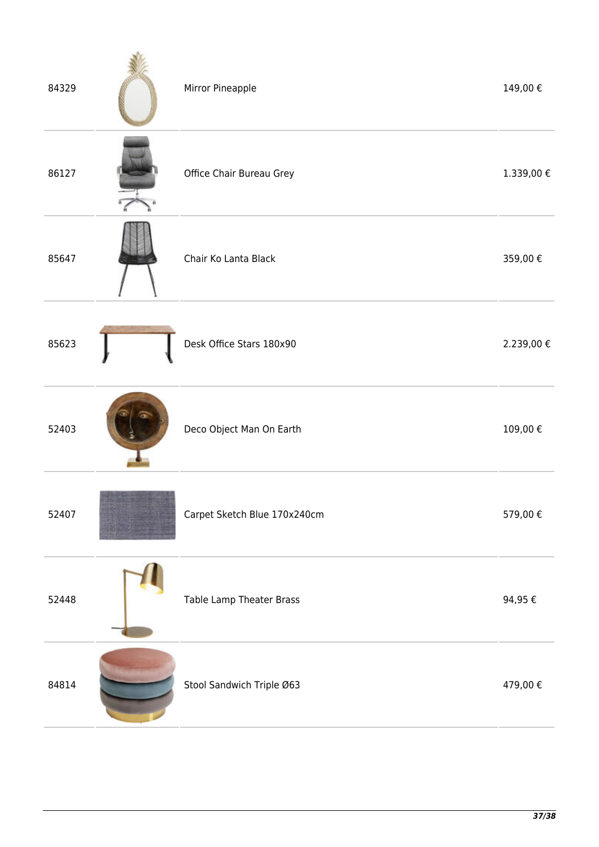| 84329 | Mirror Pineapple             | 149,00€          |
|-------|------------------------------|------------------|
| 86127 | Office Chair Bureau Grey     | $1.339,00$ $\in$ |
| 85647 | Chair Ko Lanta Black         | 359,00€          |
| 85623 | Desk Office Stars 180x90     | 2.239,00 €       |
| 52403 | Deco Object Man On Earth     | 109,00€          |
| 52407 | Carpet Sketch Blue 170x240cm | 579,00€          |
| 52448 | Table Lamp Theater Brass     | 94,95 $\in$      |
| 84814 | Stool Sandwich Triple Ø63    | 479,00€          |